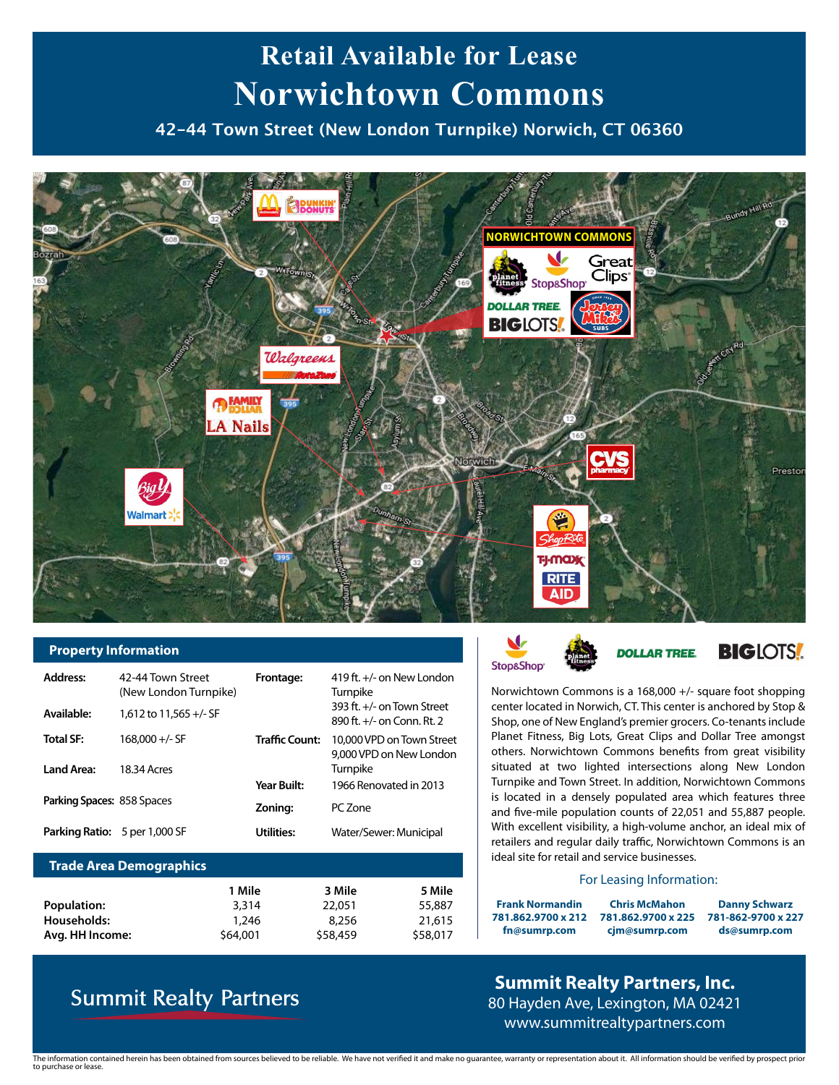# **Retail Available for Lease Norwichtown Commons**

**42-44 Town Street (New London Turnpike) Norwich, CT 06360** 



#### **Property Information**

| <b>Address:</b><br>Available: | 42-44 Town Street<br>(New London Turnpike)<br>1.612 to 11.565 $+/-$ SF | Frontage:             | 419 ft. +/- on New London<br>Turnpike<br>393 ft. +/- on Town Street<br>890 ft. $+/-$ on Conn. Rt. 2 |
|-------------------------------|------------------------------------------------------------------------|-----------------------|-----------------------------------------------------------------------------------------------------|
| <b>Total SF:</b>              | $168,000 +/-$ SF                                                       | <b>Traffic Count:</b> | 10,000 VPD on Town Street<br>9,000 VPD on New London                                                |
| Land Area:                    | 18.34 Acres                                                            | Year Built:           | Turnpike<br>1966 Renovated in 2013                                                                  |
| Parking Spaces: 858 Spaces    |                                                                        | Zoning:               | PC Zone                                                                                             |
|                               | <b>Parking Ratio:</b> 5 per 1,000 SF                                   | Utilities:            | Water/Sewer: Municipal                                                                              |

#### **Trade Area Demographics**

|                    | 1 Mile   | 3 Mile   | 5 Mile   |
|--------------------|----------|----------|----------|
| <b>Population:</b> | 3,314    | 22,051   | 55,887   |
| Households:        | 1,246    | 8.256    | 21,615   |
| Avg. HH Income:    | \$64,001 | \$58,459 | \$58,017 |

## **Summit Realty Partners**



Norwichtown Commons is a 168,000 +/- square foot shopping center located in Norwich, CT. This center is anchored by Stop & Shop, one of New England's premier grocers. Co-tenants include Planet Fitness, Big Lots, Great Clips and Dollar Tree amongst others. Norwichtown Commons benefits from great visibility situated at two lighted intersections along New London Turnpike and Town Street. In addition, Norwichtown Commons is located in a densely populated area which features three and five-mile population counts of 22,051 and 55,887 people. With excellent visibility, a high-volume anchor, an ideal mix of retailers and regular daily traffic, Norwichtown Commons is an ideal site for retail and service businesses.

#### For Leasing Information:

**Frank Normandin 781.862.9700 x 212 fn@sumrp.com 781-862-9700 x 227 781.862.9700 x 225 Chris McMahon cjm@sumrp.com**

**Danny Schwarz ds@sumrp.com**

### **Summit Realty Partners, Inc.** 80 Hayden Ave, Lexington, MA 02421 www.summitrealtypartners.com

The information contained herein has been obtained from sources believed to be reliable. We have not verified it and make no guarantee, warranty or representation about it. All information should be verified by prospect pr to purchase or lease.